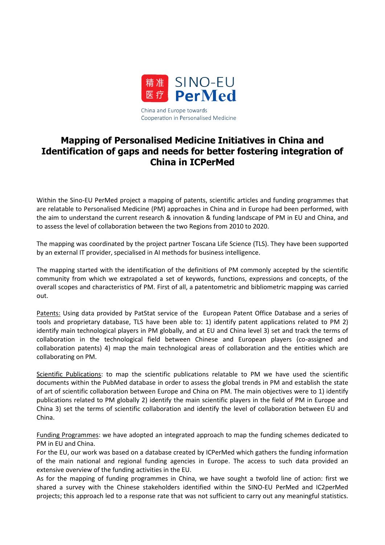

## **Mapping of Personalised Medicine Initiatives in China and Identification of gaps and needs for better fostering integration of China in ICPerMed**

Within the Sino-EU PerMed project a mapping of patents, scientific articles and funding programmes that are relatable to Personalised Medicine (PM) approaches in China and in Europe had been performed, with the aim to understand the current research & innovation & funding landscape of PM in EU and China, and to assess the level of collaboration between the two Regions from 2010 to 2020.

The mapping was coordinated by the project partner Toscana Life Science (TLS). They have been supported by an external IT provider, specialised in AI methods for business intelligence.

The mapping started with the identification of the definitions of PM commonly accepted by the scientific community from which we extrapolated a set of keywords, functions, expressions and concepts, of the overall scopes and characteristics of PM. First of all, a patentometric and bibliometric mapping was carried out.

Patents: Using data provided by PatStat service of the European Patent Office Database and a series of tools and proprietary database, TLS have been able to: 1) identify patent applications related to PM 2) identify main technological players in PM globally, and at EU and China level 3) set and track the terms of collaboration in the technological field between Chinese and European players (co-assigned and collaboration patents) 4) map the main technological areas of collaboration and the entities which are collaborating on PM.

Scientific Publications: to map the scientific publications relatable to PM we have used the scientific documents within the PubMed database in order to assess the global trends in PM and establish the state of art of scientific collaboration between Europe and China on PM. The main objectives were to 1) identify publications related to PM globally 2) identify the main scientific players in the field of PM in Europe and China 3) set the terms of scientific collaboration and identify the level of collaboration between EU and China.

Funding Programmes: we have adopted an integrated approach to map the funding schemes dedicated to PM in EU and China.

For the EU, our work was based on a database created by ICPerMed which gathers the funding information of the main national and regional funding agencies in Europe. The access to such data provided an extensive overview of the funding activities in the EU.

As for the mapping of funding programmes in China, we have sought a twofold line of action: first we shared a survey with the Chinese stakeholders identified within the SINO-EU PerMed and IC2perMed projects; this approach led to a response rate that was not sufficient to carry out any meaningful statistics.